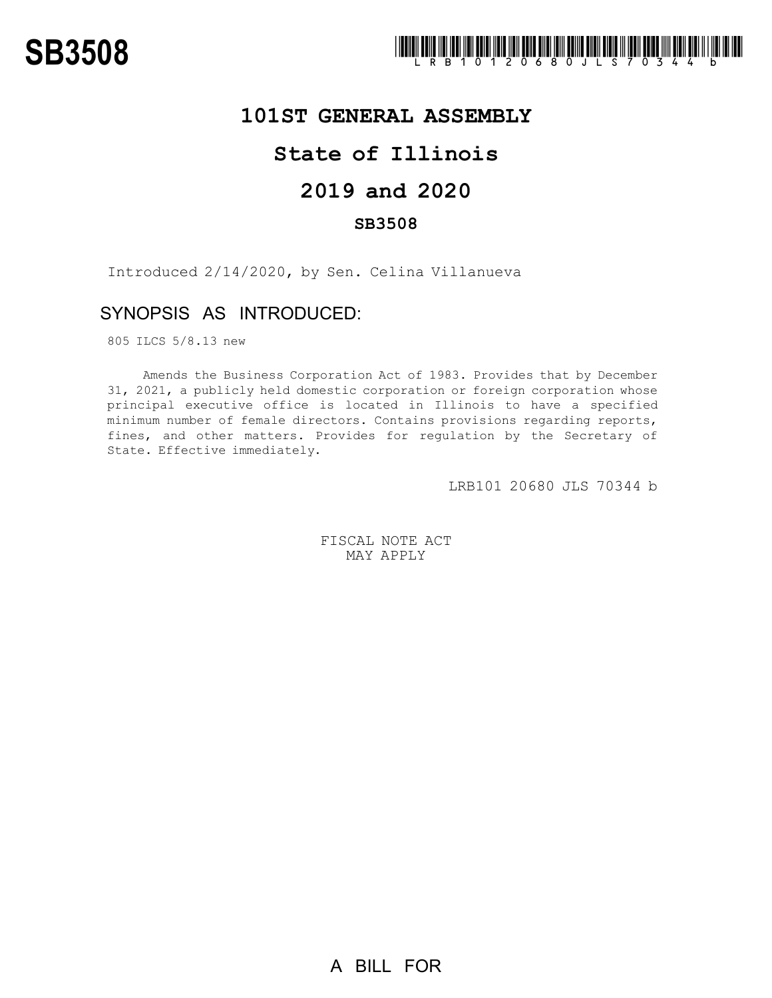

## **101ST GENERAL ASSEMBLY**

# **State of Illinois**

## **2019 and 2020**

### **SB3508**

Introduced 2/14/2020, by Sen. Celina Villanueva

## SYNOPSIS AS INTRODUCED:

805 ILCS 5/8.13 new

Amends the Business Corporation Act of 1983. Provides that by December 31, 2021, a publicly held domestic corporation or foreign corporation whose principal executive office is located in Illinois to have a specified minimum number of female directors. Contains provisions regarding reports, fines, and other matters. Provides for regulation by the Secretary of State. Effective immediately.

LRB101 20680 JLS 70344 b

FISCAL NOTE ACT MAY APPLY

A BILL FOR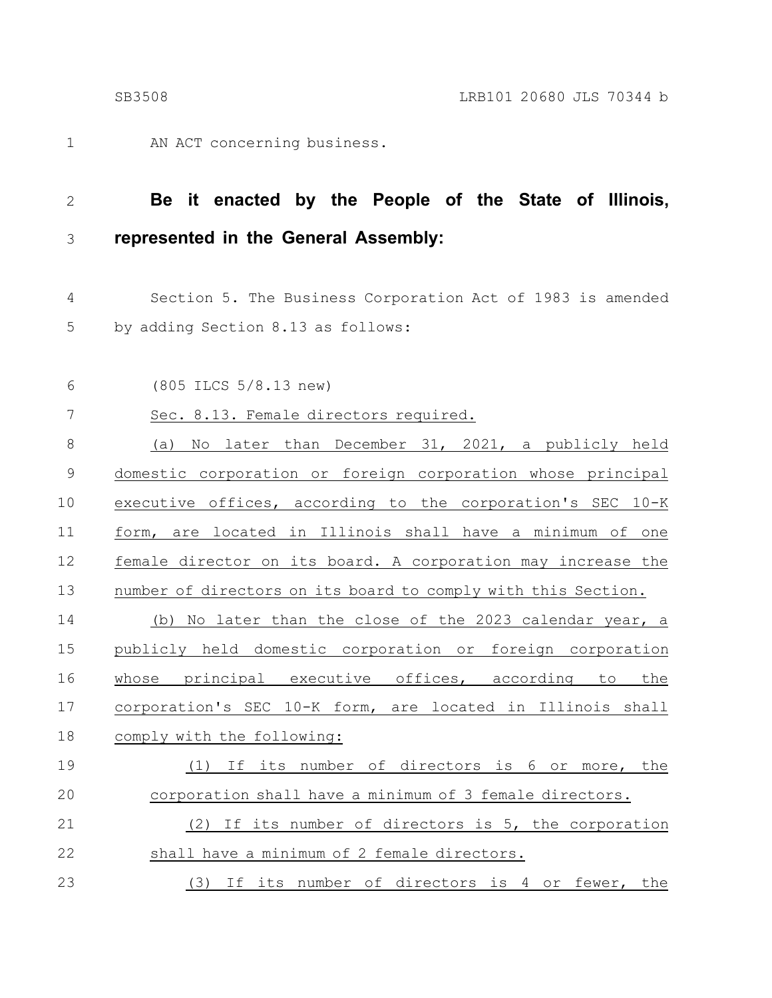AN ACT concerning business. 1

**Be it enacted by the People of the State of Illinois, represented in the General Assembly:** 2 3

- Section 5. The Business Corporation Act of 1983 is amended by adding Section 8.13 as follows: 4 5
- (805 ILCS 5/8.13 new) 6
- Sec. 8.13. Female directors required. 7
- (a) No later than December 31, 2021, a publicly held domestic corporation or foreign corporation whose principal executive offices, according to the corporation's SEC 10-K form, are located in Illinois shall have a minimum of one female director on its board. A corporation may increase the number of directors on its board to comply with this Section. (b) No later than the close of the 2023 calendar year, a publicly held domestic corporation or foreign corporation whose principal executive offices, according to the corporation's SEC 10-K form, are located in Illinois shall comply with the following: (1) If its number of directors is 6 or more, the corporation shall have a minimum of 3 female directors. (2) If its number of directors is 5, the corporation shall have a minimum of 2 female directors. 8 9 10 11 12 13 14 15 16 17 18 19 20 21 22
- (3) If its number of directors is 4 or fewer, the 23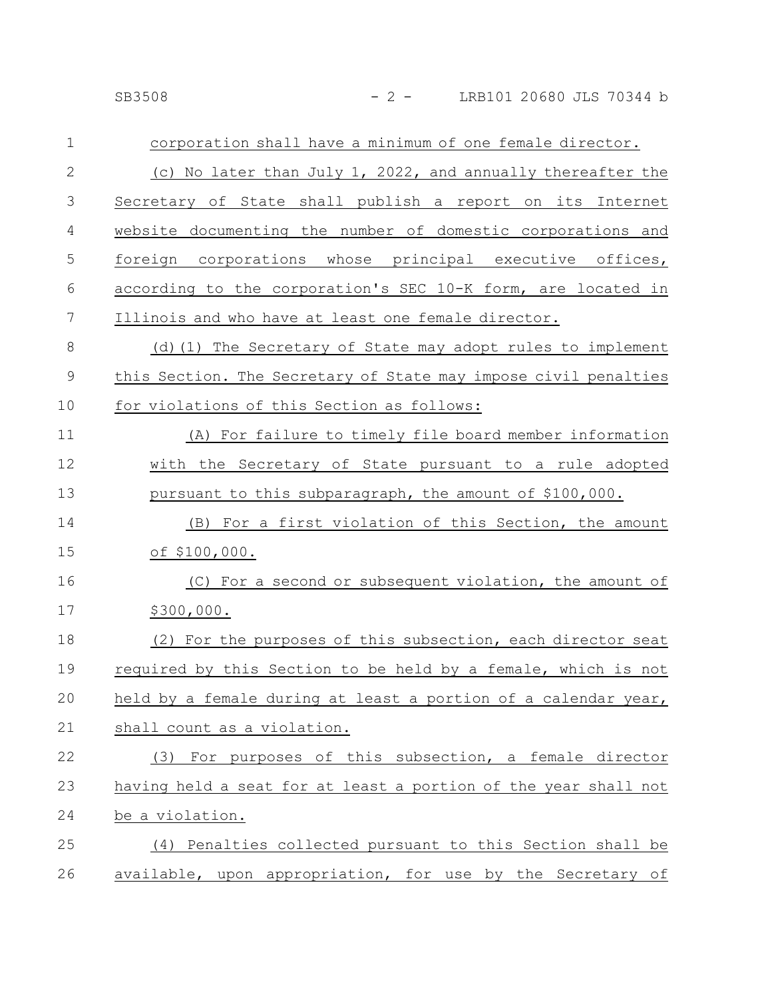| $\mathbf 1$  | corporation shall have a minimum of one female director.        |
|--------------|-----------------------------------------------------------------|
| $\mathbf{2}$ | (c) No later than July 1, 2022, and annually thereafter the     |
| 3            | Secretary of State shall publish a report on its Internet       |
| 4            | website documenting the number of domestic corporations and     |
| 5            | foreign corporations whose principal executive offices,         |
| 6            | according to the corporation's SEC 10-K form, are located in    |
| 7            | Illinois and who have at least one female director.             |
| 8            | (d) (1) The Secretary of State may adopt rules to implement     |
| $\mathsf 9$  | this Section. The Secretary of State may impose civil penalties |
| 10           | for violations of this Section as follows:                      |
| 11           | (A) For failure to timely file board member information         |
| 12           | with the Secretary of State pursuant to a rule adopted          |
| 13           | pursuant to this subparagraph, the amount of \$100,000.         |
| 14           | (B) For a first violation of this Section, the amount           |
| 15           | of \$100,000.                                                   |
| 16           | (C) For a second or subsequent violation, the amount of         |
| 17           | \$300,000.                                                      |
| 18           | (2) For the purposes of this subsection, each director seat     |
| 19           | required by this Section to be held by a female, which is not   |
| 20           | held by a female during at least a portion of a calendar year,  |
| 21           | shall count as a violation.                                     |
| 22           | (3) For purposes of this subsection, a female director          |
| 23           | having held a seat for at least a portion of the year shall not |
| 24           | be a violation.                                                 |
| 25           | (4) Penalties collected pursuant to this Section shall be       |
| 26           | available, upon appropriation, for use by the Secretary of      |